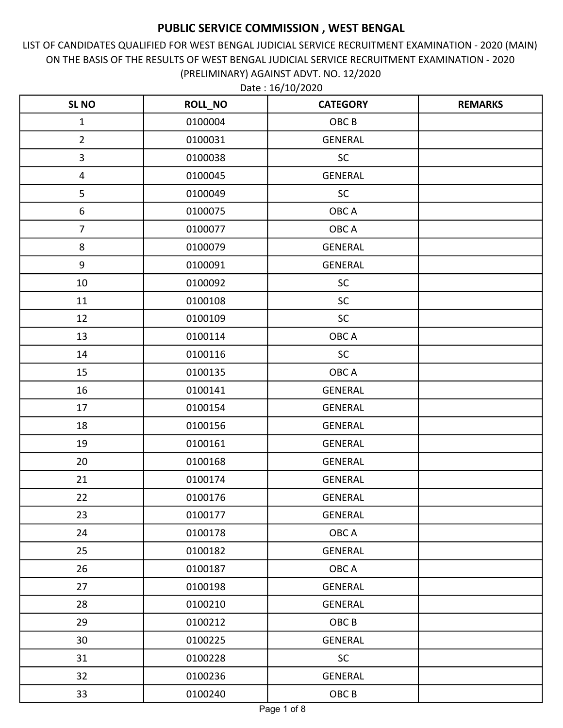LIST OF CANDIDATES QUALIFIED FOR WEST BENGAL JUDICIAL SERVICE RECRUITMENT EXAMINATION - 2020 (MAIN) ON THE BASIS OF THE RESULTS OF WEST BENGAL JUDICIAL SERVICE RECRUITMENT EXAMINATION - 2020 (PRELIMINARY) AGAINST ADVT. NO. 12/2020

| <b>SL NO</b>            | <b>ROLL_NO</b> | <b>CATEGORY</b>  | <b>REMARKS</b> |
|-------------------------|----------------|------------------|----------------|
| $\mathbf{1}$            | 0100004        | OBC <sub>B</sub> |                |
| $\overline{2}$          | 0100031        | <b>GENERAL</b>   |                |
| $\overline{\mathbf{3}}$ | 0100038        | <b>SC</b>        |                |
| $\overline{\mathbf{4}}$ | 0100045        | <b>GENERAL</b>   |                |
| 5                       | 0100049        | <b>SC</b>        |                |
| $\boldsymbol{6}$        | 0100075        | OBC A            |                |
| $\overline{7}$          | 0100077        | OBC A            |                |
| 8                       | 0100079        | <b>GENERAL</b>   |                |
| $\boldsymbol{9}$        | 0100091        | <b>GENERAL</b>   |                |
| 10                      | 0100092        | <b>SC</b>        |                |
| 11                      | 0100108        | SC               |                |
| 12                      | 0100109        | <b>SC</b>        |                |
| 13                      | 0100114        | OBC A            |                |
| 14                      | 0100116        | <b>SC</b>        |                |
| 15                      | 0100135        | OBC A            |                |
| 16                      | 0100141        | <b>GENERAL</b>   |                |
| 17                      | 0100154        | <b>GENERAL</b>   |                |
| 18                      | 0100156        | <b>GENERAL</b>   |                |
| 19                      | 0100161        | <b>GENERAL</b>   |                |
| 20                      | 0100168        | <b>GENERAL</b>   |                |
| 21                      | 0100174        | <b>GENERAL</b>   |                |
| 22                      | 0100176        | <b>GENERAL</b>   |                |
| 23                      | 0100177        | <b>GENERAL</b>   |                |
| 24                      | 0100178        | OBC A            |                |
| 25                      | 0100182        | <b>GENERAL</b>   |                |
| 26                      | 0100187        | OBC A            |                |
| 27                      | 0100198        | <b>GENERAL</b>   |                |
| 28                      | 0100210        | <b>GENERAL</b>   |                |
| 29                      | 0100212        | OBC <sub>B</sub> |                |
| 30                      | 0100225        | <b>GENERAL</b>   |                |
| 31                      | 0100228        | SC               |                |
| 32                      | 0100236        | <b>GENERAL</b>   |                |
| 33                      | 0100240        | OBC <sub>B</sub> |                |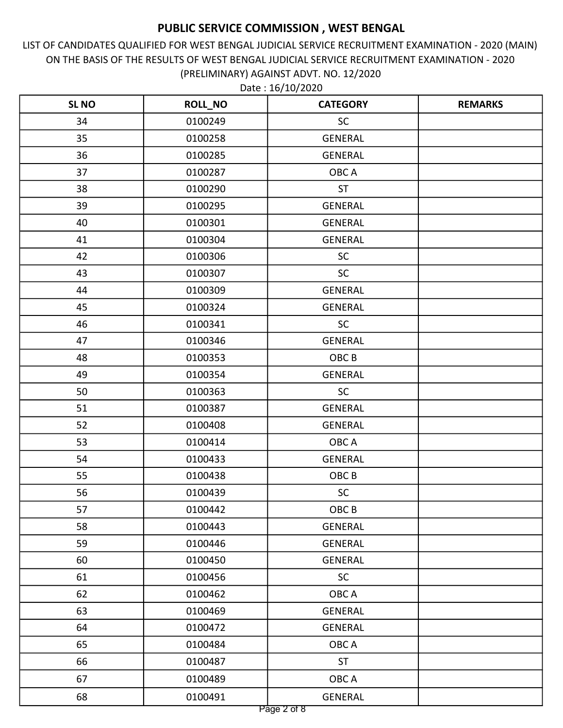LIST OF CANDIDATES QUALIFIED FOR WEST BENGAL JUDICIAL SERVICE RECRUITMENT EXAMINATION - 2020 (MAIN) ON THE BASIS OF THE RESULTS OF WEST BENGAL JUDICIAL SERVICE RECRUITMENT EXAMINATION - 2020 (PRELIMINARY) AGAINST ADVT. NO. 12/2020

| <b>SL NO</b> | <b>ROLL_NO</b> | <b>CATEGORY</b>  | <b>REMARKS</b> |
|--------------|----------------|------------------|----------------|
| 34           | 0100249        | <b>SC</b>        |                |
| 35           | 0100258        | <b>GENERAL</b>   |                |
| 36           | 0100285        | <b>GENERAL</b>   |                |
| 37           | 0100287        | OBC A            |                |
| 38           | 0100290        | <b>ST</b>        |                |
| 39           | 0100295        | <b>GENERAL</b>   |                |
| 40           | 0100301        | <b>GENERAL</b>   |                |
| 41           | 0100304        | <b>GENERAL</b>   |                |
| 42           | 0100306        | SC               |                |
| 43           | 0100307        | <b>SC</b>        |                |
| 44           | 0100309        | <b>GENERAL</b>   |                |
| 45           | 0100324        | <b>GENERAL</b>   |                |
| 46           | 0100341        | <b>SC</b>        |                |
| 47           | 0100346        | <b>GENERAL</b>   |                |
| 48           | 0100353        | OBC <sub>B</sub> |                |
| 49           | 0100354        | <b>GENERAL</b>   |                |
| 50           | 0100363        | <b>SC</b>        |                |
| 51           | 0100387        | <b>GENERAL</b>   |                |
| 52           | 0100408        | <b>GENERAL</b>   |                |
| 53           | 0100414        | OBC A            |                |
| 54           | 0100433        | <b>GENERAL</b>   |                |
| 55           | 0100438        | OBC <sub>B</sub> |                |
| 56           | 0100439        | <b>SC</b>        |                |
| 57           | 0100442        | OBCB             |                |
| 58           | 0100443        | <b>GENERAL</b>   |                |
| 59           | 0100446        | <b>GENERAL</b>   |                |
| 60           | 0100450        | <b>GENERAL</b>   |                |
| 61           | 0100456        | <b>SC</b>        |                |
| 62           | 0100462        | OBC A            |                |
| 63           | 0100469        | <b>GENERAL</b>   |                |
| 64           | 0100472        | <b>GENERAL</b>   |                |
| 65           | 0100484        | OBC A            |                |
| 66           | 0100487        | <b>ST</b>        |                |
| 67           | 0100489        | OBC A            |                |
| 68           | 0100491        | <b>GENERAL</b>   |                |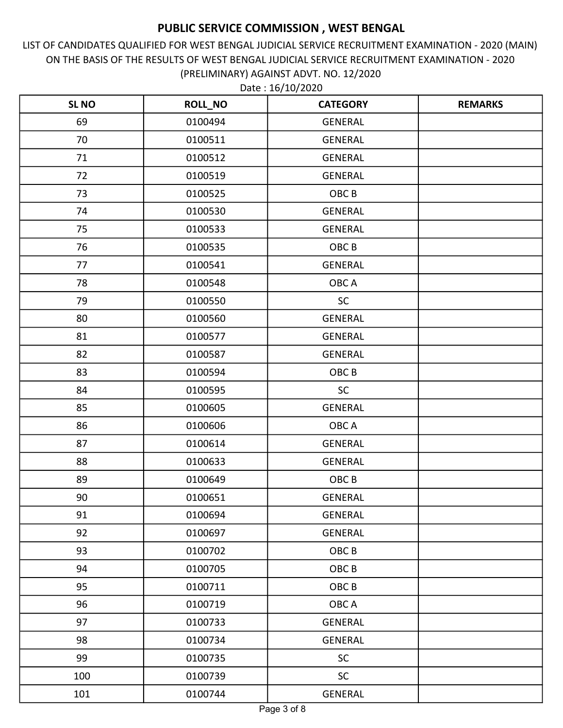LIST OF CANDIDATES QUALIFIED FOR WEST BENGAL JUDICIAL SERVICE RECRUITMENT EXAMINATION - 2020 (MAIN) ON THE BASIS OF THE RESULTS OF WEST BENGAL JUDICIAL SERVICE RECRUITMENT EXAMINATION - 2020 (PRELIMINARY) AGAINST ADVT. NO. 12/2020

| <b>SL NO</b> | <b>ROLL_NO</b> | <b>CATEGORY</b>  | <b>REMARKS</b> |
|--------------|----------------|------------------|----------------|
| 69           | 0100494        | <b>GENERAL</b>   |                |
| 70           | 0100511        | <b>GENERAL</b>   |                |
| 71           | 0100512        | <b>GENERAL</b>   |                |
| 72           | 0100519        | <b>GENERAL</b>   |                |
| 73           | 0100525        | OBC <sub>B</sub> |                |
| 74           | 0100530        | <b>GENERAL</b>   |                |
| 75           | 0100533        | <b>GENERAL</b>   |                |
| 76           | 0100535        | OBC <sub>B</sub> |                |
| 77           | 0100541        | <b>GENERAL</b>   |                |
| 78           | 0100548        | OBC A            |                |
| 79           | 0100550        | <b>SC</b>        |                |
| 80           | 0100560        | <b>GENERAL</b>   |                |
| 81           | 0100577        | <b>GENERAL</b>   |                |
| 82           | 0100587        | <b>GENERAL</b>   |                |
| 83           | 0100594        | OBC <sub>B</sub> |                |
| 84           | 0100595        | <b>SC</b>        |                |
| 85           | 0100605        | <b>GENERAL</b>   |                |
| 86           | 0100606        | OBC A            |                |
| 87           | 0100614        | <b>GENERAL</b>   |                |
| 88           | 0100633        | <b>GENERAL</b>   |                |
| 89           | 0100649        | OBC <sub>B</sub> |                |
| 90           | 0100651        | <b>GENERAL</b>   |                |
| 91           | 0100694        | <b>GENERAL</b>   |                |
| 92           | 0100697        | <b>GENERAL</b>   |                |
| 93           | 0100702        | OBC <sub>B</sub> |                |
| 94           | 0100705        | OBC <sub>B</sub> |                |
| 95           | 0100711        | OBC <sub>B</sub> |                |
| 96           | 0100719        | OBC A            |                |
| 97           | 0100733        | <b>GENERAL</b>   |                |
| 98           | 0100734        | <b>GENERAL</b>   |                |
| 99           | 0100735        | <b>SC</b>        |                |
| 100          | 0100739        | <b>SC</b>        |                |
| 101          | 0100744        | <b>GENERAL</b>   |                |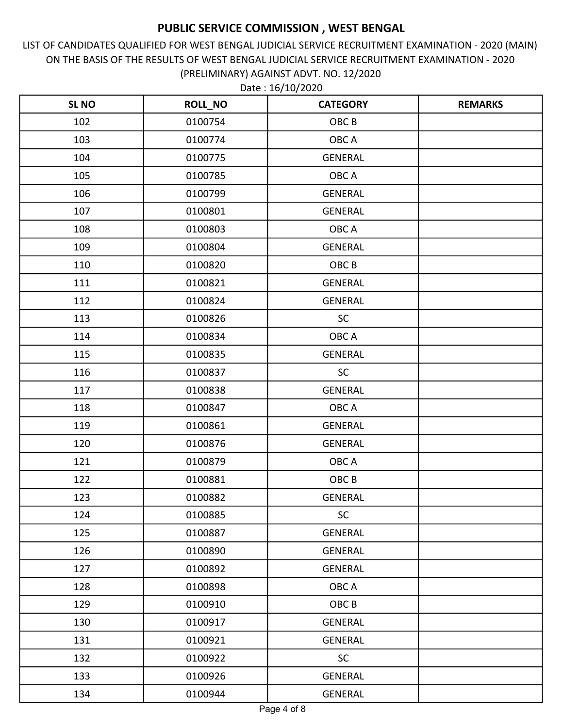LIST OF CANDIDATES QUALIFIED FOR WEST BENGAL JUDICIAL SERVICE RECRUITMENT EXAMINATION - 2020 (MAIN) ON THE BASIS OF THE RESULTS OF WEST BENGAL JUDICIAL SERVICE RECRUITMENT EXAMINATION - 2020 (PRELIMINARY) AGAINST ADVT. NO. 12/2020

| <b>SL NO</b> | <b>ROLL_NO</b> | <b>CATEGORY</b>  | <b>REMARKS</b> |
|--------------|----------------|------------------|----------------|
| 102          | 0100754        | OBC <sub>B</sub> |                |
| 103          | 0100774        | OBC A            |                |
| 104          | 0100775        | <b>GENERAL</b>   |                |
| 105          | 0100785        | OBC A            |                |
| 106          | 0100799        | <b>GENERAL</b>   |                |
| 107          | 0100801        | <b>GENERAL</b>   |                |
| 108          | 0100803        | OBC A            |                |
| 109          | 0100804        | <b>GENERAL</b>   |                |
| 110          | 0100820        | OBC <sub>B</sub> |                |
| 111          | 0100821        | <b>GENERAL</b>   |                |
| 112          | 0100824        | <b>GENERAL</b>   |                |
| 113          | 0100826        | <b>SC</b>        |                |
| 114          | 0100834        | OBC A            |                |
| 115          | 0100835        | <b>GENERAL</b>   |                |
| 116          | 0100837        | <b>SC</b>        |                |
| 117          | 0100838        | <b>GENERAL</b>   |                |
| 118          | 0100847        | OBC A            |                |
| 119          | 0100861        | <b>GENERAL</b>   |                |
| 120          | 0100876        | <b>GENERAL</b>   |                |
| 121          | 0100879        | OBC A            |                |
| 122          | 0100881        | OBC <sub>B</sub> |                |
| 123          | 0100882        | <b>GENERAL</b>   |                |
| 124          | 0100885        | SC               |                |
| 125          | 0100887        | <b>GENERAL</b>   |                |
| 126          | 0100890        | GENERAL          |                |
| 127          | 0100892        | <b>GENERAL</b>   |                |
| 128          | 0100898        | OBC A            |                |
| 129          | 0100910        | OBC <sub>B</sub> |                |
| 130          | 0100917        | GENERAL          |                |
| 131          | 0100921        | <b>GENERAL</b>   |                |
| 132          | 0100922        | <b>SC</b>        |                |
| 133          | 0100926        | <b>GENERAL</b>   |                |
| 134          | 0100944        | GENERAL          |                |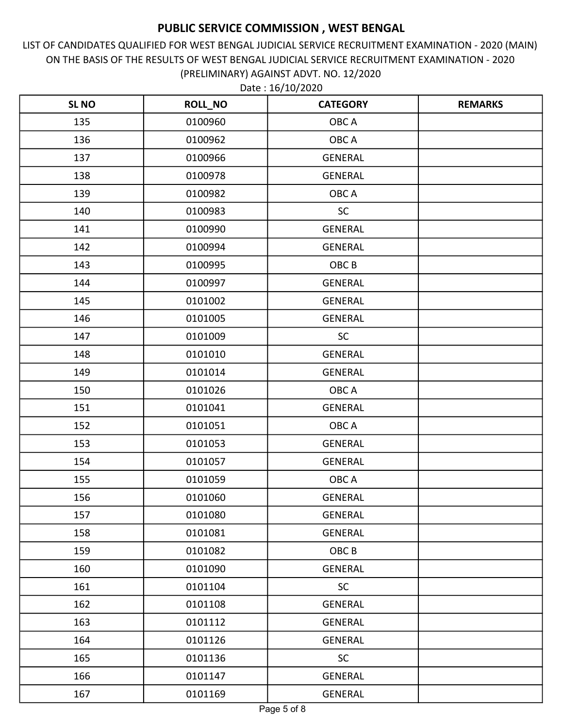LIST OF CANDIDATES QUALIFIED FOR WEST BENGAL JUDICIAL SERVICE RECRUITMENT EXAMINATION - 2020 (MAIN) ON THE BASIS OF THE RESULTS OF WEST BENGAL JUDICIAL SERVICE RECRUITMENT EXAMINATION - 2020 (PRELIMINARY) AGAINST ADVT. NO. 12/2020

| <b>SL NO</b> | <b>ROLL_NO</b> | <b>CATEGORY</b>  | <b>REMARKS</b> |
|--------------|----------------|------------------|----------------|
| 135          | 0100960        | OBC A            |                |
| 136          | 0100962        | OBC A            |                |
| 137          | 0100966        | <b>GENERAL</b>   |                |
| 138          | 0100978        | <b>GENERAL</b>   |                |
| 139          | 0100982        | OBC A            |                |
| 140          | 0100983        | <b>SC</b>        |                |
| 141          | 0100990        | <b>GENERAL</b>   |                |
| 142          | 0100994        | <b>GENERAL</b>   |                |
| 143          | 0100995        | OBC <sub>B</sub> |                |
| 144          | 0100997        | <b>GENERAL</b>   |                |
| 145          | 0101002        | <b>GENERAL</b>   |                |
| 146          | 0101005        | <b>GENERAL</b>   |                |
| 147          | 0101009        | <b>SC</b>        |                |
| 148          | 0101010        | <b>GENERAL</b>   |                |
| 149          | 0101014        | <b>GENERAL</b>   |                |
| 150          | 0101026        | OBC A            |                |
| 151          | 0101041        | <b>GENERAL</b>   |                |
| 152          | 0101051        | OBC A            |                |
| 153          | 0101053        | <b>GENERAL</b>   |                |
| 154          | 0101057        | <b>GENERAL</b>   |                |
| 155          | 0101059        | OBC A            |                |
| 156          | 0101060        | <b>GENERAL</b>   |                |
| 157          | 0101080        | <b>GENERAL</b>   |                |
| 158          | 0101081        | <b>GENERAL</b>   |                |
| 159          | 0101082        | OBC B            |                |
| 160          | 0101090        | <b>GENERAL</b>   |                |
| 161          | 0101104        | <b>SC</b>        |                |
| 162          | 0101108        | <b>GENERAL</b>   |                |
| 163          | 0101112        | GENERAL          |                |
| 164          | 0101126        | <b>GENERAL</b>   |                |
| 165          | 0101136        | <b>SC</b>        |                |
| 166          | 0101147        | <b>GENERAL</b>   |                |
| 167          | 0101169        | GENERAL          |                |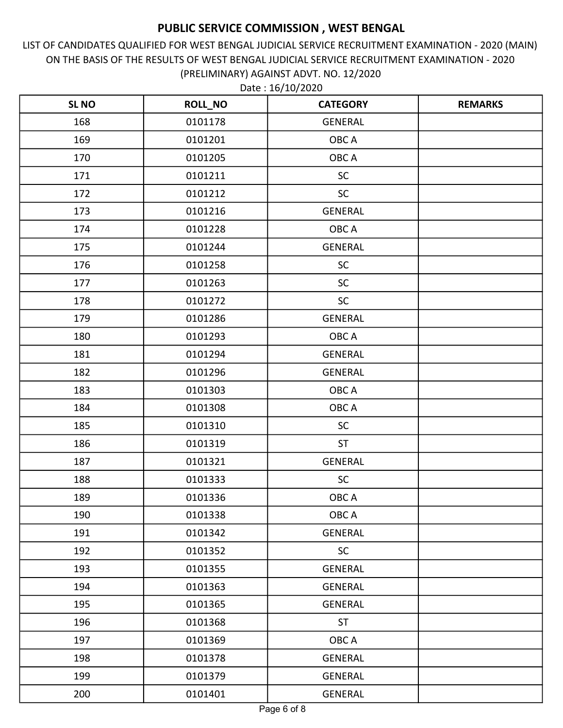LIST OF CANDIDATES QUALIFIED FOR WEST BENGAL JUDICIAL SERVICE RECRUITMENT EXAMINATION - 2020 (MAIN) ON THE BASIS OF THE RESULTS OF WEST BENGAL JUDICIAL SERVICE RECRUITMENT EXAMINATION - 2020 (PRELIMINARY) AGAINST ADVT. NO. 12/2020

| <b>SL NO</b> | <b>ROLL_NO</b> | <b>CATEGORY</b> | <b>REMARKS</b> |
|--------------|----------------|-----------------|----------------|
| 168          | 0101178        | <b>GENERAL</b>  |                |
| 169          | 0101201        | OBC A           |                |
| 170          | 0101205        | OBC A           |                |
| 171          | 0101211        | <b>SC</b>       |                |
| 172          | 0101212        | <b>SC</b>       |                |
| 173          | 0101216        | <b>GENERAL</b>  |                |
| 174          | 0101228        | OBC A           |                |
| 175          | 0101244        | <b>GENERAL</b>  |                |
| 176          | 0101258        | SC              |                |
| 177          | 0101263        | <b>SC</b>       |                |
| 178          | 0101272        | <b>SC</b>       |                |
| 179          | 0101286        | <b>GENERAL</b>  |                |
| 180          | 0101293        | OBC A           |                |
| 181          | 0101294        | <b>GENERAL</b>  |                |
| 182          | 0101296        | <b>GENERAL</b>  |                |
| 183          | 0101303        | OBC A           |                |
| 184          | 0101308        | OBC A           |                |
| 185          | 0101310        | <b>SC</b>       |                |
| 186          | 0101319        | ST              |                |
| 187          | 0101321        | <b>GENERAL</b>  |                |
| 188          | 0101333        | <b>SC</b>       |                |
| 189          | 0101336        | OBC A           |                |
| 190          | 0101338        | OBC A           |                |
| 191          | 0101342        | <b>GENERAL</b>  |                |
| 192          | 0101352        | <b>SC</b>       |                |
| 193          | 0101355        | <b>GENERAL</b>  |                |
| 194          | 0101363        | <b>GENERAL</b>  |                |
| 195          | 0101365        | <b>GENERAL</b>  |                |
| 196          | 0101368        | <b>ST</b>       |                |
| 197          | 0101369        | OBC A           |                |
| 198          | 0101378        | <b>GENERAL</b>  |                |
| 199          | 0101379        | <b>GENERAL</b>  |                |
| 200          | 0101401        | GENERAL         |                |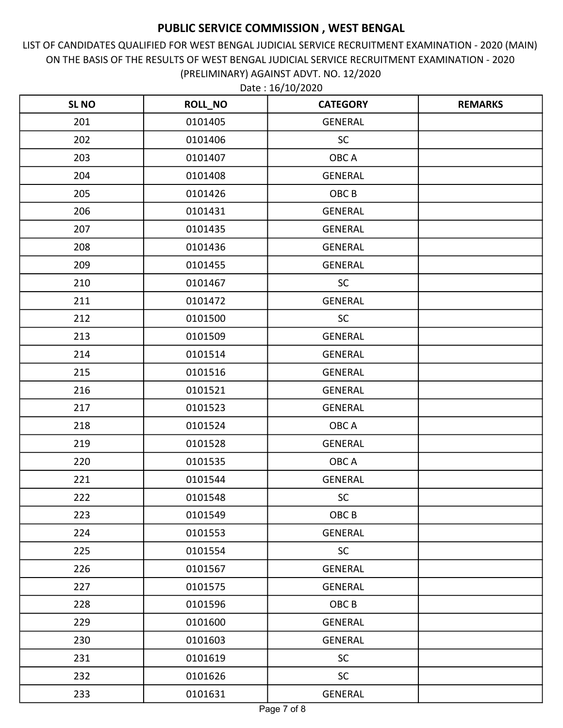LIST OF CANDIDATES QUALIFIED FOR WEST BENGAL JUDICIAL SERVICE RECRUITMENT EXAMINATION - 2020 (MAIN) ON THE BASIS OF THE RESULTS OF WEST BENGAL JUDICIAL SERVICE RECRUITMENT EXAMINATION - 2020 (PRELIMINARY) AGAINST ADVT. NO. 12/2020

| <b>SL NO</b> | <b>ROLL_NO</b> | <b>CATEGORY</b>  | <b>REMARKS</b> |
|--------------|----------------|------------------|----------------|
| 201          | 0101405        | <b>GENERAL</b>   |                |
| 202          | 0101406        | SC               |                |
| 203          | 0101407        | OBC A            |                |
| 204          | 0101408        | <b>GENERAL</b>   |                |
| 205          | 0101426        | OBC <sub>B</sub> |                |
| 206          | 0101431        | <b>GENERAL</b>   |                |
| 207          | 0101435        | <b>GENERAL</b>   |                |
| 208          | 0101436        | <b>GENERAL</b>   |                |
| 209          | 0101455        | <b>GENERAL</b>   |                |
| 210          | 0101467        | <b>SC</b>        |                |
| 211          | 0101472        | <b>GENERAL</b>   |                |
| 212          | 0101500        | <b>SC</b>        |                |
| 213          | 0101509        | <b>GENERAL</b>   |                |
| 214          | 0101514        | <b>GENERAL</b>   |                |
| 215          | 0101516        | <b>GENERAL</b>   |                |
| 216          | 0101521        | <b>GENERAL</b>   |                |
| 217          | 0101523        | <b>GENERAL</b>   |                |
| 218          | 0101524        | OBC A            |                |
| 219          | 0101528        | <b>GENERAL</b>   |                |
| 220          | 0101535        | OBC A            |                |
| 221          | 0101544        | <b>GENERAL</b>   |                |
| 222          | 0101548        | SC               |                |
| 223          | 0101549        | OBC <sub>B</sub> |                |
| 224          | 0101553        | <b>GENERAL</b>   |                |
| 225          | 0101554        | <b>SC</b>        |                |
| 226          | 0101567        | <b>GENERAL</b>   |                |
| 227          | 0101575        | <b>GENERAL</b>   |                |
| 228          | 0101596        | OBC <sub>B</sub> |                |
| 229          | 0101600        | GENERAL          |                |
| 230          | 0101603        | <b>GENERAL</b>   |                |
| 231          | 0101619        | <b>SC</b>        |                |
| 232          | 0101626        | <b>SC</b>        |                |
| 233          | 0101631        | <b>GENERAL</b>   |                |